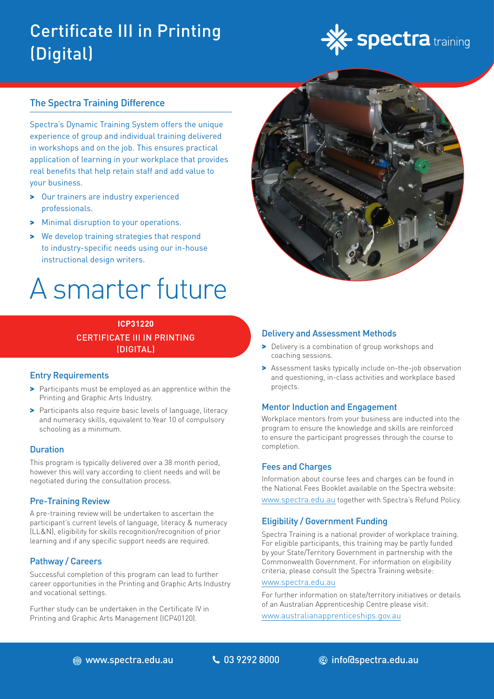## Certificate III in Printing (Digital)



#### The Spectra Training Difference

Spectra's Dynamic Training System offers the unique experience of group and individual training delivered in workshops and on the job. This ensures practical application of learning in your workplace that provides real benefits that help retain staff and add value to your business.

- > Our trainers are industry experienced professionals.
- > Minimal disruption to your operations.
- > We develop training strategies that respond to industry-specific needs using our in-house instructional design writers.

# A smarter future

### **ICP31220** CERTIFICATE III IN PRINTING (DIGITAL)

#### Entry Requirements

- > Participants must be employed as an apprentice within the Printing and Graphic Arts Industry.
- > Participants also require basic levels of language, literacy and numeracy skills, equivalent to Year 10 of compulsory schooling as a minimum.

#### **Duration**

This program is typically delivered over a 38 month period, however this will vary according to client needs and will be negotiated during the consultation process.

#### Pre-Training Review

A pre-training review will be undertaken to ascertain the participant's current levels of language, literacy & numeracy (LL&N), eligibility for skills recognition/recognition of prior learning and if any specific support needs are required.

#### Pathway / Careers

Successful completion of this program can lead to further career opportunities in the Printing and Graphic Arts Industry and vocational settings.

Further study can be undertaken in the Certificate IV in Printing and Graphic Arts Management (ICP40120).



#### Delivery and Assessment Methods

- > Delivery is a combination of group workshops and coaching sessions.
- > Assessment tasks typically include on-the-job observation and questioning, in-class activities and workplace based projects.

#### Mentor Induction and Engagement

Workplace mentors from your business are inducted into the program to ensure the knowledge and skills are reinforced to ensure the participant progresses through the course to completion.

#### Fees and Charges

Information about course fees and charges can be found in the National Fees Booklet available on the Spectra website: [www.spectra.edu.au](https://www.spectra.edu.au/) together with Spectra's Refund Policy.

#### Eligibility / Government Funding

Spectra Training is a national provider of workplace training. For eligible participants, this training may be partly funded by your State/Territory Government in partnership with the Commonwealth Government. For information on eligibility criteria, please consult the Spectra Training website:

#### [www.spectra.edu.au](https://www.spectra.edu.au/)

For further information on state/territory initiatives or details of an Australian Apprenticeship Centre please visit:

[www.australianapprenticeships.gov.au](https://www.australianapprenticeships.gov.au/)